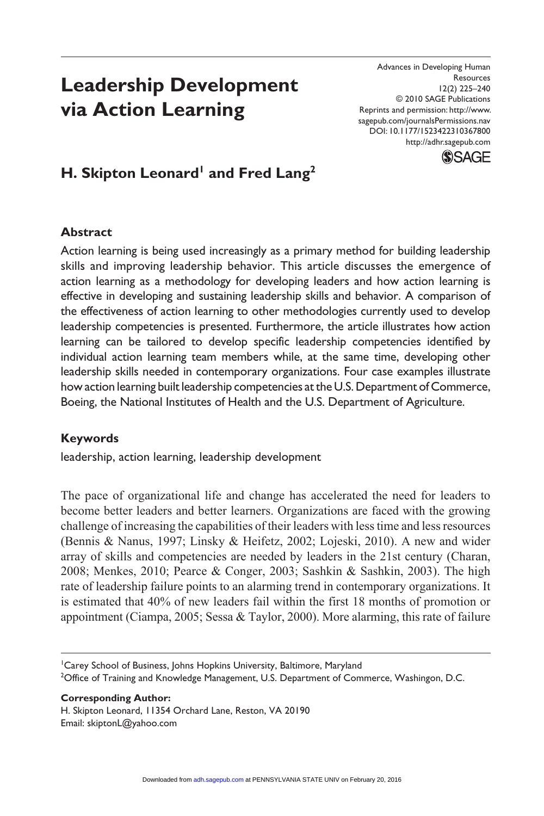# **Leadership Development via Action Learning**

Advances in Developing Human Resources 12(2) 225–240 © 2010 SAGE Publications Reprints and permission: http://www. sagepub.com/journalsPermissions.nav DOI: 10.1177/1523422310367800 http://adhr.sagepub.com



## **H. Skipton Leonard<sup>1</sup> and Fred Lang<sup>2</sup>**

### **Abstract**

Action learning is being used increasingly as a primary method for building leadership skills and improving leadership behavior. This article discusses the emergence of action learning as a methodology for developing leaders and how action learning is effective in developing and sustaining leadership skills and behavior. A comparison of the effectiveness of action learning to other methodologies currently used to develop leadership competencies is presented. Furthermore, the article illustrates how action learning can be tailored to develop specific leadership competencies identified by individual action learning team members while, at the same time, developing other leadership skills needed in contemporary organizations. Four case examples illustrate how action learning built leadership competencies at the U.S. Department of Commerce, Boeing, the National Institutes of Health and the U.S. Department of Agriculture.

### **Keywords**

leadership, action learning, leadership development

The pace of organizational life and change has accelerated the need for leaders to become better leaders and better learners. Organizations are faced with the growing challenge of increasing the capabilities of their leaders with less time and less resources (Bennis & Nanus, 1997; Linsky & Heifetz, 2002; Lojeski, 2010). A new and wider array of skills and competencies are needed by leaders in the 21st century (Charan, 2008; Menkes, 2010; Pearce & Conger, 2003; Sashkin & Sashkin, 2003). The high rate of leadership failure points to an alarming trend in contemporary organizations. It is estimated that 40% of new leaders fail within the first 18 months of promotion or appointment (Ciampa, 2005; Sessa & Taylor, 2000). More alarming, this rate of failure

<sup>1</sup>Carey School of Business, Johns Hopkins University, Baltimore, Maryland

<sup>2</sup>Office of Training and Knowledge Management, U.S. Department of Commerce, Washingon, D.C.

**Corresponding Author:** H. Skipton Leonard, 11354 Orchard Lane, Reston, VA 20190 Email: skiptonL@yahoo.com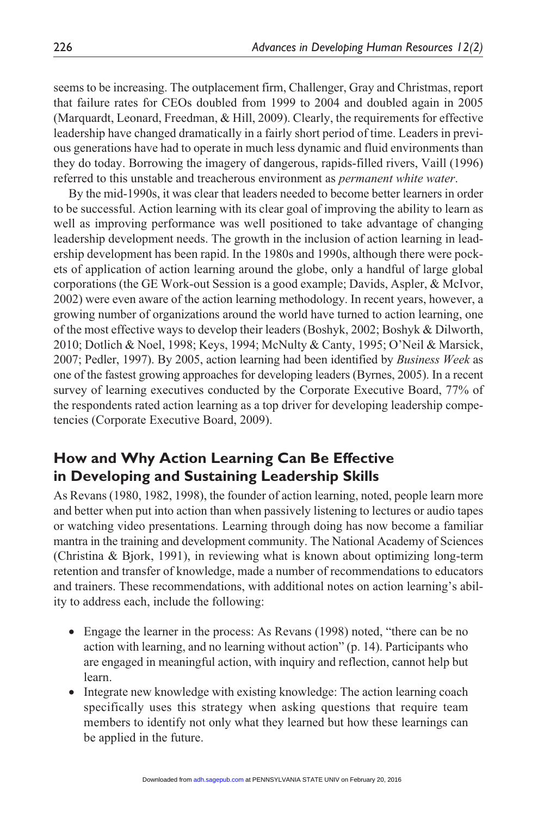seems to be increasing. The outplacement firm, Challenger, Gray and Christmas, report that failure rates for CEOs doubled from 1999 to 2004 and doubled again in 2005 (Marquardt, Leonard, Freedman, & Hill, 2009). Clearly, the requirements for effective leadership have changed dramatically in a fairly short period of time. Leaders in previous generations have had to operate in much less dynamic and fluid environments than they do today. Borrowing the imagery of dangerous, rapids-filled rivers, Vaill (1996) referred to this unstable and treacherous environment as *permanent white water*.

By the mid-1990s, it was clear that leaders needed to become better learners in order to be successful. Action learning with its clear goal of improving the ability to learn as well as improving performance was well positioned to take advantage of changing leadership development needs. The growth in the inclusion of action learning in leadership development has been rapid. In the 1980s and 1990s, although there were pockets of application of action learning around the globe, only a handful of large global corporations (the GE Work-out Session is a good example; Davids, Aspler, & McIvor, 2002) were even aware of the action learning methodology. In recent years, however, a growing number of organizations around the world have turned to action learning, one of the most effective ways to develop their leaders (Boshyk, 2002; Boshyk & Dilworth, 2010; Dotlich & Noel, 1998; Keys, 1994; McNulty & Canty, 1995; O'Neil & Marsick, 2007; Pedler, 1997). By 2005, action learning had been identified by *Business Week* as one of the fastest growing approaches for developing leaders (Byrnes, 2005). In a recent survey of learning executives conducted by the Corporate Executive Board, 77% of the respondents rated action learning as a top driver for developing leadership competencies (Corporate Executive Board, 2009).

## **How and Why Action Learning Can Be Effective in Developing and Sustaining Leadership Skills**

As Revans (1980, 1982, 1998), the founder of action learning, noted, people learn more and better when put into action than when passively listening to lectures or audio tapes or watching video presentations. Learning through doing has now become a familiar mantra in the training and development community. The National Academy of Sciences (Christina & Bjork, 1991), in reviewing what is known about optimizing long-term retention and transfer of knowledge, made a number of recommendations to educators and trainers. These recommendations, with additional notes on action learning's ability to address each, include the following:

- Engage the learner in the process: As Revans (1998) noted, "there can be no action with learning, and no learning without action" (p. 14). Participants who are engaged in meaningful action, with inquiry and reflection, cannot help but learn.
- Integrate new knowledge with existing knowledge: The action learning coach specifically uses this strategy when asking questions that require team members to identify not only what they learned but how these learnings can be applied in the future.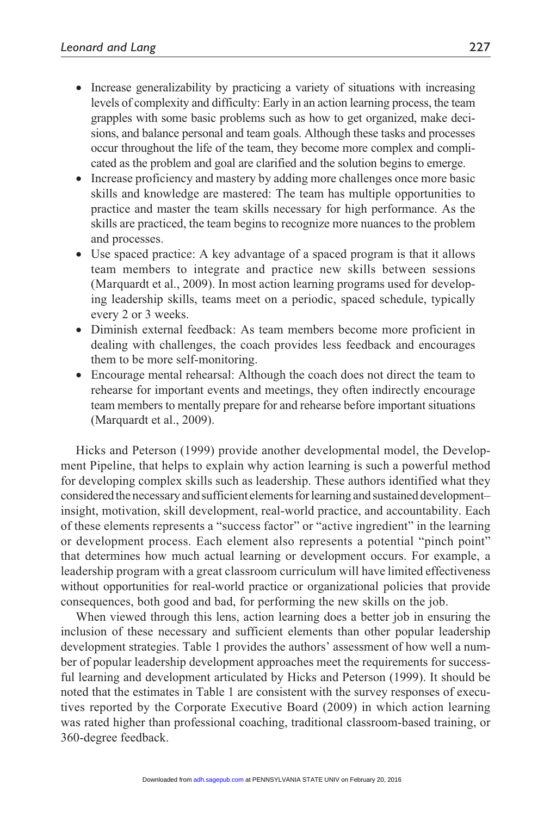- Increase generalizability by practicing a variety of situations with increasing levels of complexity and difficulty: Early in an action learning process, the team grapples with some basic problems such as how to get organized, make decisions, and balance personal and team goals. Although these tasks and processes occur throughout the life of the team, they become more complex and complicated as the problem and goal are clarified and the solution begins to emerge.
- Increase proficiency and mastery by adding more challenges once more basic skills and knowledge are mastered: The team has multiple opportunities to practice and master the team skills necessary for high performance. As the skills are practiced, the team begins to recognize more nuances to the problem and processes.
- Use spaced practice: A key advantage of a spaced program is that it allows team members to integrate and practice new skills between sessions (Marquardt et al., 2009). In most action learning programs used for developing leadership skills, teams meet on a periodic, spaced schedule, typically every 2 or 3 weeks.
- Diminish external feedback: As team members become more proficient in dealing with challenges, the coach provides less feedback and encourages them to be more self-monitoring.
- Encourage mental rehearsal: Although the coach does not direct the team to rehearse for important events and meetings, they often indirectly encourage team members to mentally prepare for and rehearse before important situations (Marquardt et al., 2009).

Hicks and Peterson (1999) provide another developmental model, the Development Pipeline, that helps to explain why action learning is such a powerful method for developing complex skills such as leadership. These authors identified what they considered the necessary and sufficient elements for learning and sustained development– insight, motivation, skill development, real-world practice, and accountability. Each of these elements represents a "success factor" or "active ingredient" in the learning or development process. Each element also represents a potential "pinch point" that determines how much actual learning or development occurs. For example, a leadership program with a great classroom curriculum will have limited effectiveness without opportunities for real-world practice or organizational policies that provide consequences, both good and bad, for performing the new skills on the job.

When viewed through this lens, action learning does a better job in ensuring the inclusion of these necessary and sufficient elements than other popular leadership development strategies. Table 1 provides the authors' assessment of how well a number of popular leadership development approaches meet the requirements for successful learning and development articulated by Hicks and Peterson (1999). It should be noted that the estimates in Table 1 are consistent with the survey responses of executives reported by the Corporate Executive Board (2009) in which action learning was rated higher than professional coaching, traditional classroom-based training, or 360-degree feedback.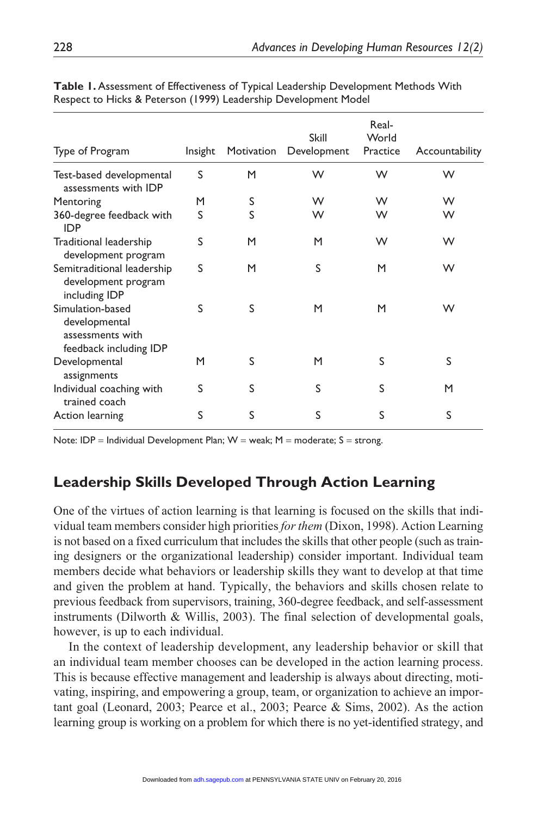| Type of Program                                                                 | Insight | Motivation | Skill<br>Development | Real-<br>World<br>Practice | Accountability |
|---------------------------------------------------------------------------------|---------|------------|----------------------|----------------------------|----------------|
|                                                                                 |         |            |                      |                            |                |
| Test-based developmental<br>assessments with IDP                                | S       | M          | W                    | W                          | w              |
| Mentoring                                                                       | M       | S          | W                    | W                          | W              |
| 360-degree feedback with<br><b>IDP</b>                                          | S       | Ś          | W                    | W                          | w              |
| Traditional leadership<br>development program                                   | S       | M          | M                    | W                          | W              |
| Semitraditional leadership<br>development program<br>including IDP              | S       | M          | S                    | M                          | W              |
| Simulation-based<br>developmental<br>assessments with<br>feedback including IDP | S       | S          | M                    | м                          | w              |
| Developmental<br>assignments                                                    | M       | S          | M                    | S                          | S              |
| Individual coaching with<br>trained coach                                       | S       | S          | S                    | S                          | M              |
| Action learning                                                                 | S       | S          | S                    | S                          | S              |

**Table 1.** Assessment of Effectiveness of Typical Leadership Development Methods With Respect to Hicks & Peterson (1999) Leadership Development Model

Note: IDP = Individual Development Plan;  $W =$  weak; M = moderate; S = strong.

## **Leadership Skills Developed Through Action Learning**

One of the virtues of action learning is that learning is focused on the skills that individual team members consider high priorities *for them* (Dixon, 1998). Action Learning is not based on a fixed curriculum that includes the skills that other people (such as training designers or the organizational leadership) consider important. Individual team members decide what behaviors or leadership skills they want to develop at that time and given the problem at hand. Typically, the behaviors and skills chosen relate to previous feedback from supervisors, training, 360-degree feedback, and self-assessment instruments (Dilworth & Willis, 2003). The final selection of developmental goals, however, is up to each individual.

In the context of leadership development, any leadership behavior or skill that an individual team member chooses can be developed in the action learning process. This is because effective management and leadership is always about directing, motivating, inspiring, and empowering a group, team, or organization to achieve an important goal (Leonard, 2003; Pearce et al., 2003; Pearce & Sims, 2002). As the action learning group is working on a problem for which there is no yet-identified strategy, and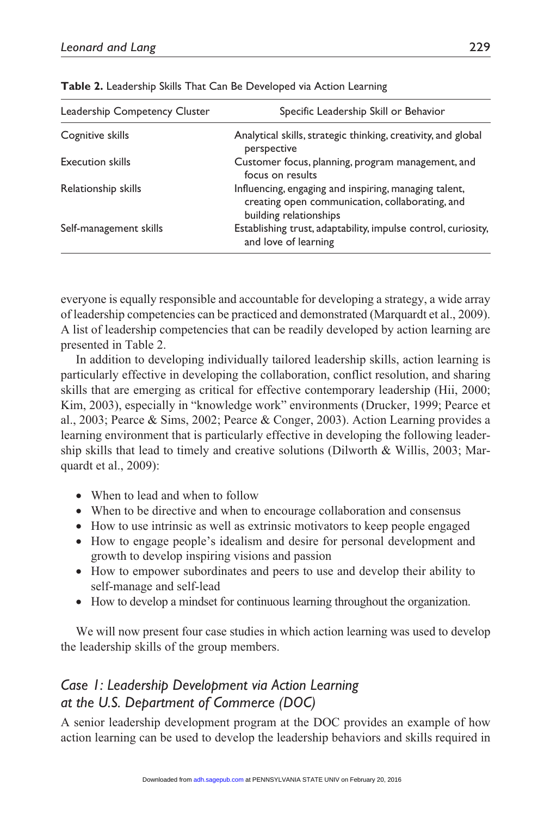| Leadership Competency Cluster | Specific Leadership Skill or Behavior                                                                                              |
|-------------------------------|------------------------------------------------------------------------------------------------------------------------------------|
| Cognitive skills              | Analytical skills, strategic thinking, creativity, and global<br>perspective                                                       |
| Execution skills              | Customer focus, planning, program management, and<br>focus on results                                                              |
| Relationship skills           | Influencing, engaging and inspiring, managing talent,<br>creating open communication, collaborating, and<br>building relationships |
| Self-management skills        | Establishing trust, adaptability, impulse control, curiosity,<br>and love of learning                                              |

**Table 2.** Leadership Skills That Can Be Developed via Action Learning

everyone is equally responsible and accountable for developing a strategy, a wide array of leadership competencies can be practiced and demonstrated (Marquardt et al., 2009). A list of leadership competencies that can be readily developed by action learning are presented in Table 2.

In addition to developing individually tailored leadership skills, action learning is particularly effective in developing the collaboration, conflict resolution, and sharing skills that are emerging as critical for effective contemporary leadership (Hii, 2000; Kim, 2003), especially in "knowledge work" environments (Drucker, 1999; Pearce et al., 2003; Pearce & Sims, 2002; Pearce & Conger, 2003). Action Learning provides a learning environment that is particularly effective in developing the following leadership skills that lead to timely and creative solutions (Dilworth & Willis, 2003; Marquardt et al., 2009):

- When to lead and when to follow
- When to be directive and when to encourage collaboration and consensus
- How to use intrinsic as well as extrinsic motivators to keep people engaged
- How to engage people's idealism and desire for personal development and growth to develop inspiring visions and passion
- How to empower subordinates and peers to use and develop their ability to self-manage and self-lead
- How to develop a mindset for continuous learning throughout the organization.

We will now present four case studies in which action learning was used to develop the leadership skills of the group members.

## *Case 1: Leadership Development via Action Learning at the U.S. Department of Commerce (DOC)*

A senior leadership development program at the DOC provides an example of how action learning can be used to develop the leadership behaviors and skills required in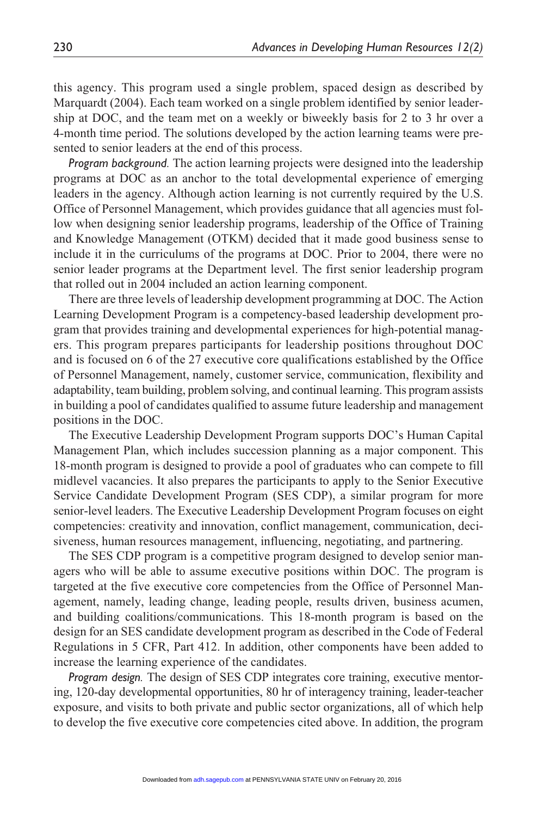this agency. This program used a single problem, spaced design as described by Marquardt (2004). Each team worked on a single problem identified by senior leadership at DOC, and the team met on a weekly or biweekly basis for 2 to 3 hr over a 4-month time period. The solutions developed by the action learning teams were presented to senior leaders at the end of this process.

*Program background.* The action learning projects were designed into the leadership programs at DOC as an anchor to the total developmental experience of emerging leaders in the agency. Although action learning is not currently required by the U.S. Office of Personnel Management, which provides guidance that all agencies must follow when designing senior leadership programs, leadership of the Office of Training and Knowledge Management (OTKM) decided that it made good business sense to include it in the curriculums of the programs at DOC. Prior to 2004, there were no senior leader programs at the Department level. The first senior leadership program that rolled out in 2004 included an action learning component.

There are three levels of leadership development programming at DOC. The Action Learning Development Program is a competency-based leadership development program that provides training and developmental experiences for high-potential managers. This program prepares participants for leadership positions throughout DOC and is focused on 6 of the 27 executive core qualifications established by the Office of Personnel Management, namely, customer service, communication, flexibility and adaptability, team building, problem solving, and continual learning. This program assists in building a pool of candidates qualified to assume future leadership and management positions in the DOC.

The Executive Leadership Development Program supports DOC's Human Capital Management Plan, which includes succession planning as a major component. This 18-month program is designed to provide a pool of graduates who can compete to fill midlevel vacancies. It also prepares the participants to apply to the Senior Executive Service Candidate Development Program (SES CDP), a similar program for more senior-level leaders. The Executive Leadership Development Program focuses on eight competencies: creativity and innovation, conflict management, communication, decisiveness, human resources management, influencing, negotiating, and partnering.

The SES CDP program is a competitive program designed to develop senior managers who will be able to assume executive positions within DOC. The program is targeted at the five executive core competencies from the Office of Personnel Management, namely, leading change, leading people, results driven, business acumen, and building coalitions/communications. This 18-month program is based on the design for an SES candidate development program as described in the Code of Federal Regulations in 5 CFR, Part 412. In addition, other components have been added to increase the learning experience of the candidates.

*Program design.* The design of SES CDP integrates core training, executive mentoring, 120-day developmental opportunities, 80 hr of interagency training, leader-teacher exposure, and visits to both private and public sector organizations, all of which help to develop the five executive core competencies cited above. In addition, the program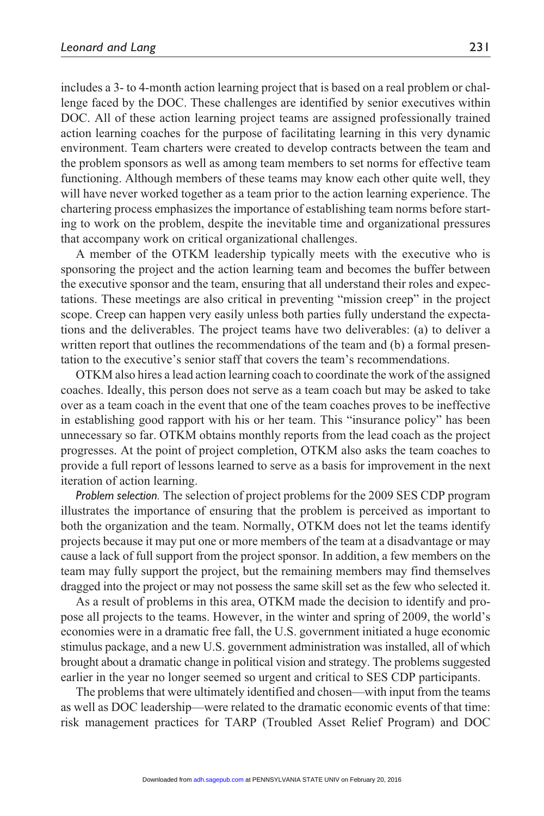includes a 3- to 4-month action learning project that is based on a real problem or challenge faced by the DOC. These challenges are identified by senior executives within DOC. All of these action learning project teams are assigned professionally trained action learning coaches for the purpose of facilitating learning in this very dynamic environment. Team charters were created to develop contracts between the team and the problem sponsors as well as among team members to set norms for effective team functioning. Although members of these teams may know each other quite well, they will have never worked together as a team prior to the action learning experience. The chartering process emphasizes the importance of establishing team norms before starting to work on the problem, despite the inevitable time and organizational pressures that accompany work on critical organizational challenges.

A member of the OTKM leadership typically meets with the executive who is sponsoring the project and the action learning team and becomes the buffer between the executive sponsor and the team, ensuring that all understand their roles and expectations. These meetings are also critical in preventing "mission creep" in the project scope. Creep can happen very easily unless both parties fully understand the expectations and the deliverables. The project teams have two deliverables: (a) to deliver a written report that outlines the recommendations of the team and (b) a formal presentation to the executive's senior staff that covers the team's recommendations.

OTKM also hires a lead action learning coach to coordinate the work of the assigned coaches. Ideally, this person does not serve as a team coach but may be asked to take over as a team coach in the event that one of the team coaches proves to be ineffective in establishing good rapport with his or her team. This "insurance policy" has been unnecessary so far. OTKM obtains monthly reports from the lead coach as the project progresses. At the point of project completion, OTKM also asks the team coaches to provide a full report of lessons learned to serve as a basis for improvement in the next iteration of action learning.

*Problem selection.* The selection of project problems for the 2009 SES CDP program illustrates the importance of ensuring that the problem is perceived as important to both the organization and the team. Normally, OTKM does not let the teams identify projects because it may put one or more members of the team at a disadvantage or may cause a lack of full support from the project sponsor. In addition, a few members on the team may fully support the project, but the remaining members may find themselves dragged into the project or may not possess the same skill set as the few who selected it.

As a result of problems in this area, OTKM made the decision to identify and propose all projects to the teams. However, in the winter and spring of 2009, the world's economies were in a dramatic free fall, the U.S. government initiated a huge economic stimulus package, and a new U.S. government administration was installed, all of which brought about a dramatic change in political vision and strategy. The problems suggested earlier in the year no longer seemed so urgent and critical to SES CDP participants.

The problems that were ultimately identified and chosen—with input from the teams as well as DOC leadership—were related to the dramatic economic events of that time: risk management practices for TARP (Troubled Asset Relief Program) and DOC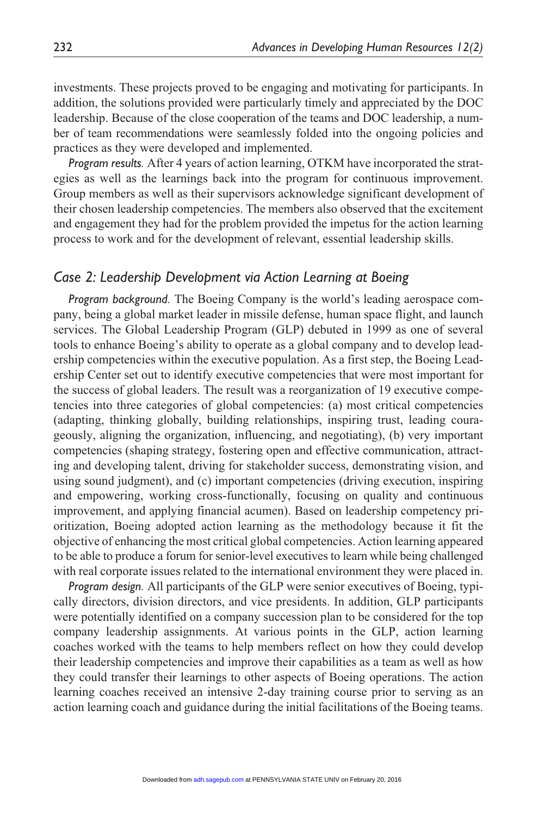investments. These projects proved to be engaging and motivating for participants. In addition, the solutions provided were particularly timely and appreciated by the DOC leadership. Because of the close cooperation of the teams and DOC leadership, a number of team recommendations were seamlessly folded into the ongoing policies and practices as they were developed and implemented.

*Program results.* After 4 years of action learning, OTKM have incorporated the strategies as well as the learnings back into the program for continuous improvement. Group members as well as their supervisors acknowledge significant development of their chosen leadership competencies. The members also observed that the excitement and engagement they had for the problem provided the impetus for the action learning process to work and for the development of relevant, essential leadership skills.

#### *Case 2: Leadership Development via Action Learning at Boeing*

*Program background.* The Boeing Company is the world's leading aerospace company, being a global market leader in missile defense, human space flight, and launch services. The Global Leadership Program (GLP) debuted in 1999 as one of several tools to enhance Boeing's ability to operate as a global company and to develop leadership competencies within the executive population. As a first step, the Boeing Leadership Center set out to identify executive competencies that were most important for the success of global leaders. The result was a reorganization of 19 executive competencies into three categories of global competencies: (a) most critical competencies (adapting, thinking globally, building relationships, inspiring trust, leading courageously, aligning the organization, influencing, and negotiating), (b) very important competencies (shaping strategy, fostering open and effective communication, attracting and developing talent, driving for stakeholder success, demonstrating vision, and using sound judgment), and (c) important competencies (driving execution, inspiring and empowering, working cross-functionally, focusing on quality and continuous improvement, and applying financial acumen). Based on leadership competency prioritization, Boeing adopted action learning as the methodology because it fit the objective of enhancing the most critical global competencies. Action learning appeared to be able to produce a forum for senior-level executives to learn while being challenged with real corporate issues related to the international environment they were placed in.

*Program design.* All participants of the GLP were senior executives of Boeing, typically directors, division directors, and vice presidents. In addition, GLP participants were potentially identified on a company succession plan to be considered for the top company leadership assignments. At various points in the GLP, action learning coaches worked with the teams to help members reflect on how they could develop their leadership competencies and improve their capabilities as a team as well as how they could transfer their learnings to other aspects of Boeing operations. The action learning coaches received an intensive 2-day training course prior to serving as an action learning coach and guidance during the initial facilitations of the Boeing teams.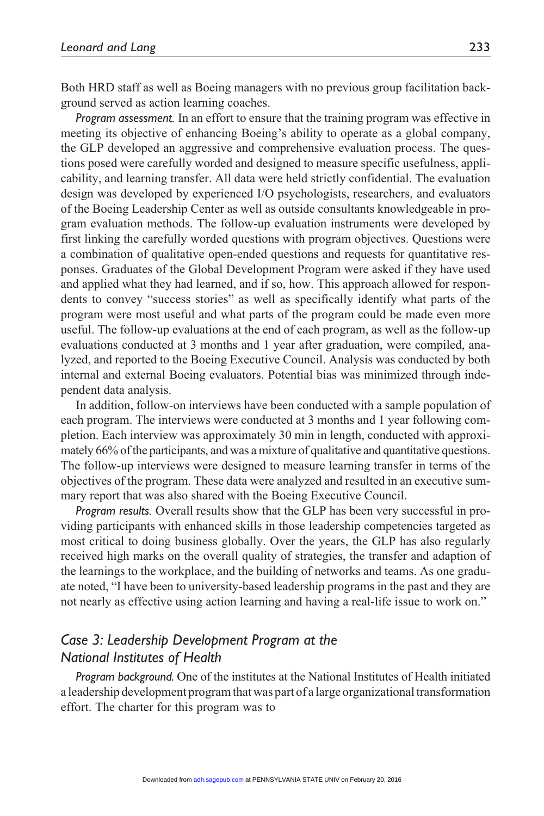Both HRD staff as well as Boeing managers with no previous group facilitation background served as action learning coaches.

*Program assessment.* In an effort to ensure that the training program was effective in meeting its objective of enhancing Boeing's ability to operate as a global company, the GLP developed an aggressive and comprehensive evaluation process. The questions posed were carefully worded and designed to measure specific usefulness, applicability, and learning transfer. All data were held strictly confidential. The evaluation design was developed by experienced I/O psychologists, researchers, and evaluators of the Boeing Leadership Center as well as outside consultants knowledgeable in program evaluation methods. The follow-up evaluation instruments were developed by first linking the carefully worded questions with program objectives. Questions were a combination of qualitative open-ended questions and requests for quantitative responses. Graduates of the Global Development Program were asked if they have used and applied what they had learned, and if so, how. This approach allowed for respondents to convey "success stories" as well as specifically identify what parts of the program were most useful and what parts of the program could be made even more useful. The follow-up evaluations at the end of each program, as well as the follow-up evaluations conducted at 3 months and 1 year after graduation, were compiled, analyzed, and reported to the Boeing Executive Council. Analysis was conducted by both internal and external Boeing evaluators. Potential bias was minimized through independent data analysis.

In addition, follow-on interviews have been conducted with a sample population of each program. The interviews were conducted at 3 months and 1 year following completion. Each interview was approximately 30 min in length, conducted with approximately 66% of the participants, and was a mixture of qualitative and quantitative questions. The follow-up interviews were designed to measure learning transfer in terms of the objectives of the program. These data were analyzed and resulted in an executive summary report that was also shared with the Boeing Executive Council.

*Program results.* Overall results show that the GLP has been very successful in providing participants with enhanced skills in those leadership competencies targeted as most critical to doing business globally. Over the years, the GLP has also regularly received high marks on the overall quality of strategies, the transfer and adaption of the learnings to the workplace, and the building of networks and teams. As one graduate noted, "I have been to university-based leadership programs in the past and they are not nearly as effective using action learning and having a real-life issue to work on."

### *Case 3: Leadership Development Program at the National Institutes of Health*

*Program background.* One of the institutes at the National Institutes of Health initiated a leadership development program that was part of a large organizational transformation effort. The charter for this program was to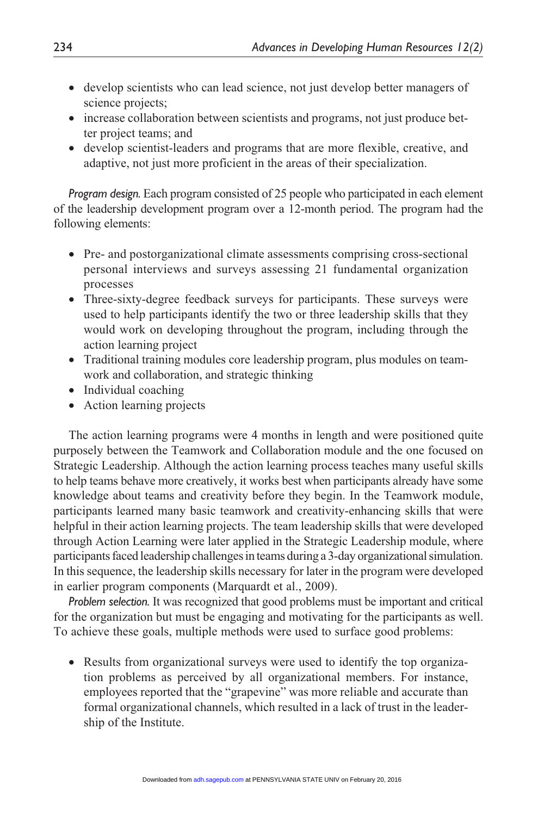- develop scientists who can lead science, not just develop better managers of science projects;
- increase collaboration between scientists and programs, not just produce better project teams; and
- develop scientist-leaders and programs that are more flexible, creative, and adaptive, not just more proficient in the areas of their specialization.

*Program design.* Each program consisted of 25 people who participated in each element of the leadership development program over a 12-month period. The program had the following elements:

- Pre- and postorganizational climate assessments comprising cross-sectional personal interviews and surveys assessing 21 fundamental organization processes
- Three-sixty-degree feedback surveys for participants. These surveys were used to help participants identify the two or three leadership skills that they would work on developing throughout the program, including through the action learning project
- Traditional training modules core leadership program, plus modules on teamwork and collaboration, and strategic thinking
- Individual coaching
- Action learning projects

The action learning programs were 4 months in length and were positioned quite purposely between the Teamwork and Collaboration module and the one focused on Strategic Leadership. Although the action learning process teaches many useful skills to help teams behave more creatively, it works best when participants already have some knowledge about teams and creativity before they begin. In the Teamwork module, participants learned many basic teamwork and creativity-enhancing skills that were helpful in their action learning projects. The team leadership skills that were developed through Action Learning were later applied in the Strategic Leadership module, where participants faced leadership challenges in teams during a 3-day organizational simulation. In this sequence, the leadership skills necessary for later in the program were developed in earlier program components (Marquardt et al., 2009).

*Problem selection.* It was recognized that good problems must be important and critical for the organization but must be engaging and motivating for the participants as well. To achieve these goals, multiple methods were used to surface good problems:

• Results from organizational surveys were used to identify the top organization problems as perceived by all organizational members. For instance, employees reported that the "grapevine" was more reliable and accurate than formal organizational channels, which resulted in a lack of trust in the leadership of the Institute.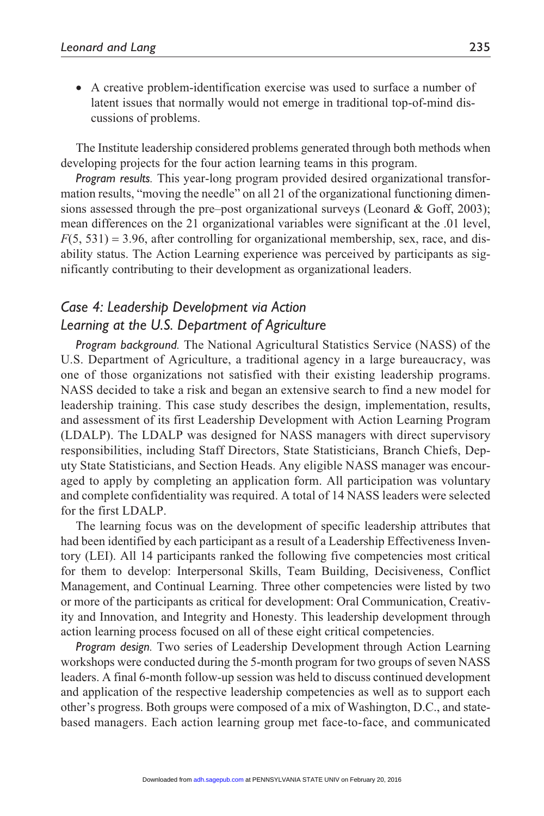• A creative problem-identification exercise was used to surface a number of latent issues that normally would not emerge in traditional top-of-mind discussions of problems.

The Institute leadership considered problems generated through both methods when developing projects for the four action learning teams in this program.

*Program results.* This year-long program provided desired organizational transformation results, "moving the needle" on all 21 of the organizational functioning dimensions assessed through the pre–post organizational surveys (Leonard & Goff, 2003); mean differences on the 21 organizational variables were significant at the .01 level,  $F(5, 531) = 3.96$ , after controlling for organizational membership, sex, race, and disability status. The Action Learning experience was perceived by participants as significantly contributing to their development as organizational leaders.

### *Case 4: Leadership Development via Action Learning at the U.S. Department of Agriculture*

*Program background.* The National Agricultural Statistics Service (NASS) of the U.S. Department of Agriculture, a traditional agency in a large bureaucracy, was one of those organizations not satisfied with their existing leadership programs. NASS decided to take a risk and began an extensive search to find a new model for leadership training. This case study describes the design, implementation, results, and assessment of its first Leadership Development with Action Learning Program (LDALP). The LDALP was designed for NASS managers with direct supervisory responsibilities, including Staff Directors, State Statisticians, Branch Chiefs, Deputy State Statisticians, and Section Heads. Any eligible NASS manager was encouraged to apply by completing an application form. All participation was voluntary and complete confidentiality was required. A total of 14 NASS leaders were selected for the first LDALP.

The learning focus was on the development of specific leadership attributes that had been identified by each participant as a result of a Leadership Effectiveness Inventory (LEI). All 14 participants ranked the following five competencies most critical for them to develop: Interpersonal Skills, Team Building, Decisiveness, Conflict Management, and Continual Learning. Three other competencies were listed by two or more of the participants as critical for development: Oral Communication, Creativity and Innovation, and Integrity and Honesty. This leadership development through action learning process focused on all of these eight critical competencies.

*Program design.* Two series of Leadership Development through Action Learning workshops were conducted during the 5-month program for two groups of seven NASS leaders. A final 6-month follow-up session was held to discuss continued development and application of the respective leadership competencies as well as to support each other's progress. Both groups were composed of a mix of Washington, D.C., and statebased managers. Each action learning group met face-to-face, and communicated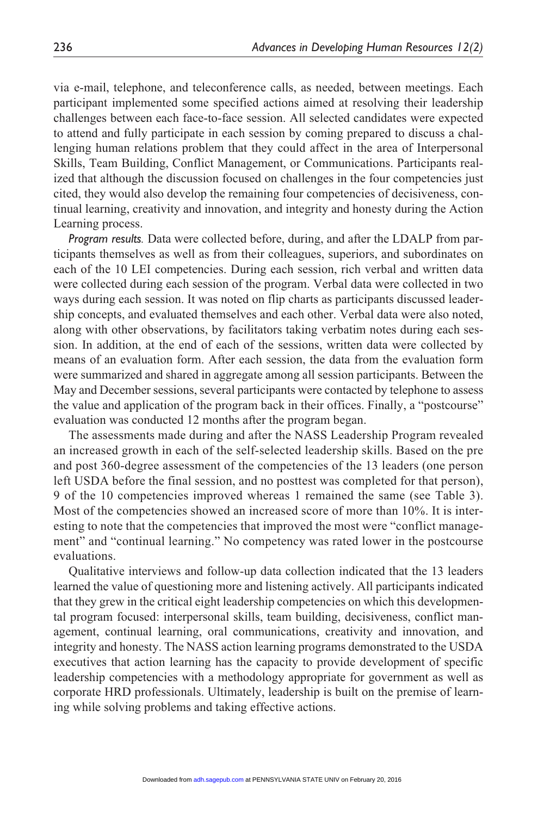via e-mail, telephone, and teleconference calls, as needed, between meetings. Each participant implemented some specified actions aimed at resolving their leadership challenges between each face-to-face session. All selected candidates were expected to attend and fully participate in each session by coming prepared to discuss a challenging human relations problem that they could affect in the area of Interpersonal Skills, Team Building, Conflict Management, or Communications. Participants realized that although the discussion focused on challenges in the four competencies just cited, they would also develop the remaining four competencies of decisiveness, continual learning, creativity and innovation, and integrity and honesty during the Action Learning process.

*Program results.* Data were collected before, during, and after the LDALP from participants themselves as well as from their colleagues, superiors, and subordinates on each of the 10 LEI competencies. During each session, rich verbal and written data were collected during each session of the program. Verbal data were collected in two ways during each session. It was noted on flip charts as participants discussed leadership concepts, and evaluated themselves and each other. Verbal data were also noted, along with other observations, by facilitators taking verbatim notes during each session. In addition, at the end of each of the sessions, written data were collected by means of an evaluation form. After each session, the data from the evaluation form were summarized and shared in aggregate among all session participants. Between the May and December sessions, several participants were contacted by telephone to assess the value and application of the program back in their offices. Finally, a "postcourse" evaluation was conducted 12 months after the program began.

The assessments made during and after the NASS Leadership Program revealed an increased growth in each of the self-selected leadership skills. Based on the pre and post 360-degree assessment of the competencies of the 13 leaders (one person left USDA before the final session, and no posttest was completed for that person), 9 of the 10 competencies improved whereas 1 remained the same (see Table 3). Most of the competencies showed an increased score of more than 10%. It is interesting to note that the competencies that improved the most were "conflict management" and "continual learning." No competency was rated lower in the postcourse evaluations.

Qualitative interviews and follow-up data collection indicated that the 13 leaders learned the value of questioning more and listening actively. All participants indicated that they grew in the critical eight leadership competencies on which this developmental program focused: interpersonal skills, team building, decisiveness, conflict management, continual learning, oral communications, creativity and innovation, and integrity and honesty. The NASS action learning programs demonstrated to the USDA executives that action learning has the capacity to provide development of specific leadership competencies with a methodology appropriate for government as well as corporate HRD professionals. Ultimately, leadership is built on the premise of learning while solving problems and taking effective actions.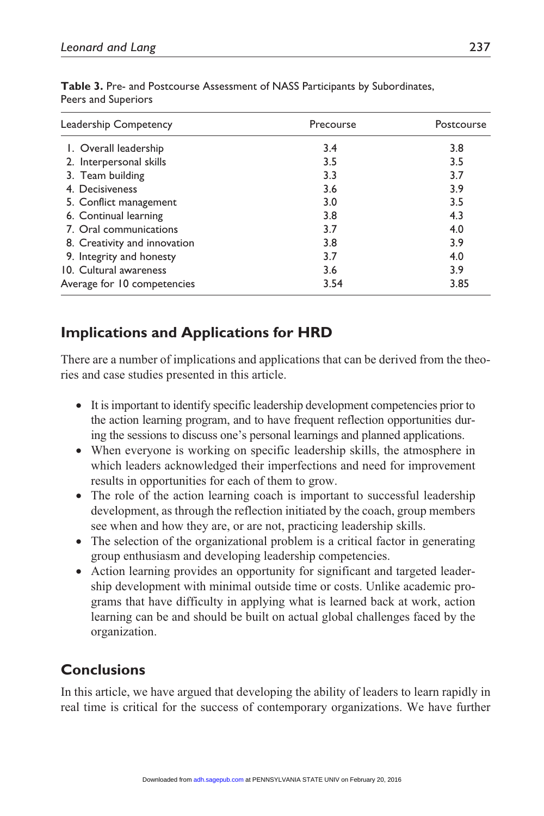| Leadership Competency        | Precourse | Postcourse |
|------------------------------|-----------|------------|
| I. Overall leadership        | 3.4       | 3.8        |
| 2. Interpersonal skills      | 3.5       | 3.5        |
| 3. Team building             | 3.3       | 3.7        |
| 4. Decisiveness              | 3.6       | 3.9        |
| 5. Conflict management       | 3.0       | 3.5        |
| 6. Continual learning        | 3.8       | 4.3        |
| 7. Oral communications       | 3.7       | 4.0        |
| 8. Creativity and innovation | 3.8       | 3.9        |
| 9. Integrity and honesty     | 3.7       | 4.0        |
| 10. Cultural awareness       | 3.6       | 3.9        |
| Average for 10 competencies  | 3.54      | 3.85       |

**Table 3.** Pre- and Postcourse Assessment of NASS Participants by Subordinates, Peers and Superiors

## **Implications and Applications for HRD**

There are a number of implications and applications that can be derived from the theories and case studies presented in this article.

- It is important to identify specific leadership development competencies prior to the action learning program, and to have frequent reflection opportunities during the sessions to discuss one's personal learnings and planned applications.
- When everyone is working on specific leadership skills, the atmosphere in which leaders acknowledged their imperfections and need for improvement results in opportunities for each of them to grow.
- The role of the action learning coach is important to successful leadership development, as through the reflection initiated by the coach, group members see when and how they are, or are not, practicing leadership skills.
- The selection of the organizational problem is a critical factor in generating group enthusiasm and developing leadership competencies.
- Action learning provides an opportunity for significant and targeted leadership development with minimal outside time or costs. Unlike academic programs that have difficulty in applying what is learned back at work, action learning can be and should be built on actual global challenges faced by the organization.

## **Conclusions**

In this article, we have argued that developing the ability of leaders to learn rapidly in real time is critical for the success of contemporary organizations. We have further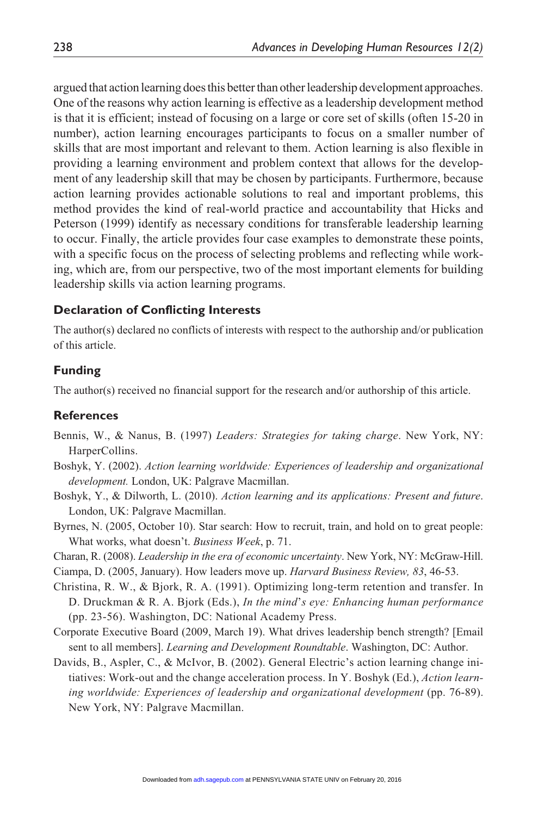argued that action learning does this better than other leadership development approaches. One of the reasons why action learning is effective as a leadership development method is that it is efficient; instead of focusing on a large or core set of skills (often 15-20 in number), action learning encourages participants to focus on a smaller number of skills that are most important and relevant to them. Action learning is also flexible in providing a learning environment and problem context that allows for the development of any leadership skill that may be chosen by participants. Furthermore, because action learning provides actionable solutions to real and important problems, this method provides the kind of real-world practice and accountability that Hicks and Peterson (1999) identify as necessary conditions for transferable leadership learning to occur. Finally, the article provides four case examples to demonstrate these points, with a specific focus on the process of selecting problems and reflecting while working, which are, from our perspective, two of the most important elements for building leadership skills via action learning programs.

#### **Declaration of Conflicting Interests**

The author(s) declared no conflicts of interests with respect to the authorship and/or publication of this article.

#### **Funding**

The author(s) received no financial support for the research and/or authorship of this article.

#### **References**

- Bennis, W., & Nanus, B. (1997) *Leaders: Strategies for taking charge*. New York, NY: HarperCollins.
- Boshyk, Y. (2002). *Action learning worldwide: Experiences of leadership and organizational development.* London, UK: Palgrave Macmillan.
- Boshyk, Y., & Dilworth, L. (2010). *Action learning and its applications: Present and future*. London, UK: Palgrave Macmillan.
- Byrnes, N. (2005, October 10). Star search: How to recruit, train, and hold on to great people: What works, what doesn't. *Business Week*, p. 71.
- Charan, R. (2008). *Leadership in the era of economic uncertainty*. New York, NY: McGraw-Hill.
- Ciampa, D. (2005, January). How leaders move up. *Harvard Business Review, 83*, 46-53.
- Christina, R. W., & Bjork, R. A. (1991). Optimizing long-term retention and transfer. In D. Druckman & R. A. Bjork (Eds.), *In the mind*'*s eye: Enhancing human performance* (pp. 23-56). Washington, DC: National Academy Press.
- Corporate Executive Board (2009, March 19). What drives leadership bench strength? [Email sent to all members]. *Learning and Development Roundtable*. Washington, DC: Author.
- Davids, B., Aspler, C., & McIvor, B. (2002). General Electric's action learning change initiatives: Work-out and the change acceleration process. In Y. Boshyk (Ed.), *Action learning worldwide: Experiences of leadership and organizational development* (pp. 76-89). New York, NY: Palgrave Macmillan.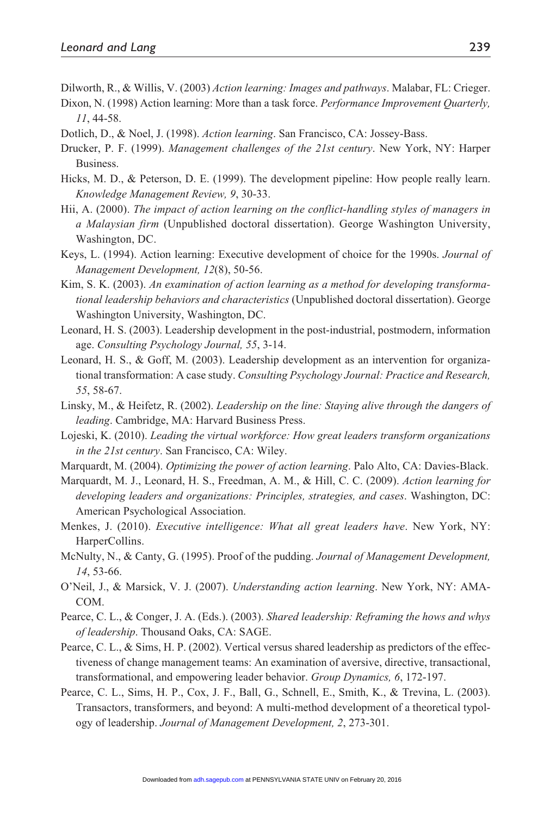- Dilworth, R., & Willis, V. (2003) *Action learning: Images and pathways*. Malabar, FL: Crieger.
- Dixon, N. (1998) Action learning: More than a task force. *Performance Improvement Quarterly, 11*, 44-58.
- Dotlich, D., & Noel, J. (1998). *Action learning*. San Francisco, CA: Jossey-Bass.
- Drucker, P. F. (1999). *Management challenges of the 21st century*. New York, NY: Harper Business.
- Hicks, M. D., & Peterson, D. E. (1999). The development pipeline: How people really learn. *Knowledge Management Review, 9*, 30-33.
- Hii, A. (2000). *The impact of action learning on the conflict-handling styles of managers in a Malaysian firm* (Unpublished doctoral dissertation). George Washington University, Washington, DC.
- Keys, L. (1994). Action learning: Executive development of choice for the 1990s. *Journal of Management Development, 12*(8), 50-56.
- Kim, S. K. (2003). *An examination of action learning as a method for developing transformational leadership behaviors and characteristics* (Unpublished doctoral dissertation). George Washington University, Washington, DC.
- Leonard, H. S. (2003). Leadership development in the post-industrial, postmodern, information age. *Consulting Psychology Journal, 55*, 3-14.
- Leonard, H. S., & Goff, M. (2003). Leadership development as an intervention for organizational transformation: A case study. *Consulting Psychology Journal: Practice and Research, 55*, 58-67.
- Linsky, M., & Heifetz, R. (2002). *Leadership on the line: Staying alive through the dangers of leading*. Cambridge, MA: Harvard Business Press.
- Lojeski, K. (2010). *Leading the virtual workforce: How great leaders transform organizations in the 21st century*. San Francisco, CA: Wiley.
- Marquardt, M. (2004). *Optimizing the power of action learning*. Palo Alto, CA: Davies-Black.
- Marquardt, M. J., Leonard, H. S., Freedman, A. M., & Hill, C. C. (2009). *Action learning for developing leaders and organizations: Principles, strategies, and cases*. Washington, DC: American Psychological Association.
- Menkes, J. (2010). *Executive intelligence: What all great leaders have*. New York, NY: HarperCollins.
- McNulty, N., & Canty, G. (1995). Proof of the pudding. *Journal of Management Development, 14*, 53-66.
- O'Neil, J., & Marsick, V. J. (2007). *Understanding action learning*. New York, NY: AMA-COM.
- Pearce, C. L., & Conger, J. A. (Eds.). (2003). *Shared leadership: Reframing the hows and whys of leadership*. Thousand Oaks, CA: SAGE.
- Pearce, C. L., & Sims, H. P. (2002). Vertical versus shared leadership as predictors of the effectiveness of change management teams: An examination of aversive, directive, transactional, transformational, and empowering leader behavior. *Group Dynamics, 6*, 172-197.
- Pearce, C. L., Sims, H. P., Cox, J. F., Ball, G., Schnell, E., Smith, K., & Trevina, L. (2003). Transactors, transformers, and beyond: A multi-method development of a theoretical typology of leadership. *Journal of Management Development, 2*, 273-301.